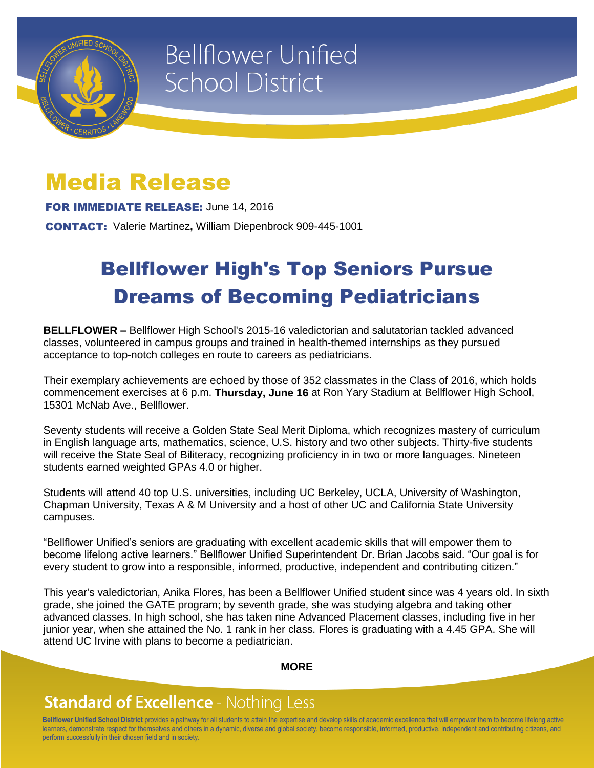

# **Bellflower Unified School District**

## Media Release

FOR IMMEDIATE RELEASE: June 14, 2016

CONTACT: Valerie Martinez**,** William Diepenbrock 909-445-1001

## Bellflower High's Top Seniors Pursue Dreams of Becoming Pediatricians

**BELLFLOWER –** Bellflower High School's 2015-16 valedictorian and salutatorian tackled advanced classes, volunteered in campus groups and trained in health-themed internships as they pursued acceptance to top-notch colleges en route to careers as pediatricians.

Their exemplary achievements are echoed by those of 352 classmates in the Class of 2016, which holds commencement exercises at 6 p.m. **Thursday, June 16** at Ron Yary Stadium at Bellflower High School, 15301 McNab Ave., Bellflower.

Seventy students will receive a Golden State Seal Merit Diploma, which recognizes mastery of curriculum in English language arts, mathematics, science, U.S. history and two other subjects. Thirty-five students will receive the State Seal of Biliteracy, recognizing proficiency in in two or more languages. Nineteen students earned weighted GPAs 4.0 or higher.

Students will attend 40 top U.S. universities, including UC Berkeley, UCLA, University of Washington, Chapman University, Texas A & M University and a host of other UC and California State University campuses.

"Bellflower Unified's seniors are graduating with excellent academic skills that will empower them to become lifelong active learners." Bellflower Unified Superintendent Dr. Brian Jacobs said. "Our goal is for every student to grow into a responsible, informed, productive, independent and contributing citizen."

This year's valedictorian, Anika Flores, has been a Bellflower Unified student since was 4 years old. In sixth grade, she joined the GATE program; by seventh grade, she was studying algebra and taking other advanced classes. In high school, she has taken nine Advanced Placement classes, including five in her junior year, when she attained the No. 1 rank in her class. Flores is graduating with a 4.45 GPA. She will attend UC Irvine with plans to become a pediatrician.

#### **MORE**

### **Standard of Excellence - Nothing Less**

**Bellflower Unified School District** provides a pathway for all students to attain the expertise and develop skills of academic excellence that will empower them to become lifelong active learners, demonstrate respect for themselves and others in a dynamic, diverse and global society, become responsible, informed, productive, independent and contributing citizens, and perform successfully in their chosen field and in society.